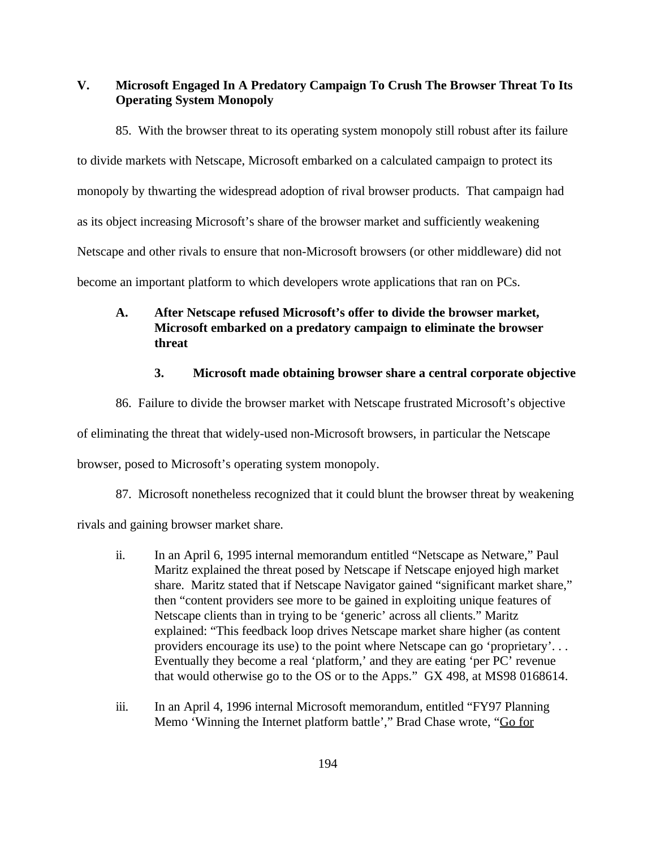**V. Microsoft Engaged In A Predatory Campaign To Crush The Browser Threat To Its Operating System Monopoly**

85. With the browser threat to its operating system monopoly still robust after its failure to divide markets with Netscape, Microsoft embarked on a calculated campaign to protect its monopoly by thwarting the widespread adoption of rival browser products. That campaign had as its object increasing Microsoft's share of the browser market and sufficiently weakening Netscape and other rivals to ensure that non-Microsoft browsers (or other middleware) did not become an important platform to which developers wrote applications that ran on PCs.

# **A. After Netscape refused Microsoft's offer to divide the browser market, Microsoft embarked on a predatory campaign to eliminate the browser threat**

## **3. Microsoft made obtaining browser share a central corporate objective**

86. Failure to divide the browser market with Netscape frustrated Microsoft's objective

of eliminating the threat that widely-used non-Microsoft browsers, in particular the Netscape

browser, posed to Microsoft's operating system monopoly.

87. Microsoft nonetheless recognized that it could blunt the browser threat by weakening rivals and gaining browser market share.

- ii. In an April 6, 1995 internal memorandum entitled "Netscape as Netware," Paul Maritz explained the threat posed by Netscape if Netscape enjoyed high market share. Maritz stated that if Netscape Navigator gained "significant market share," then "content providers see more to be gained in exploiting unique features of Netscape clients than in trying to be 'generic' across all clients." Maritz explained: "This feedback loop drives Netscape market share higher (as content providers encourage its use) to the point where Netscape can go 'proprietary'. . . Eventually they become a real 'platform,' and they are eating 'per PC' revenue that would otherwise go to the OS or to the Apps." GX 498, at MS98 0168614.
- iii. In an April 4, 1996 internal Microsoft memorandum, entitled "FY97 Planning" Memo 'Winning the Internet platform battle'," Brad Chase wrote, "Go for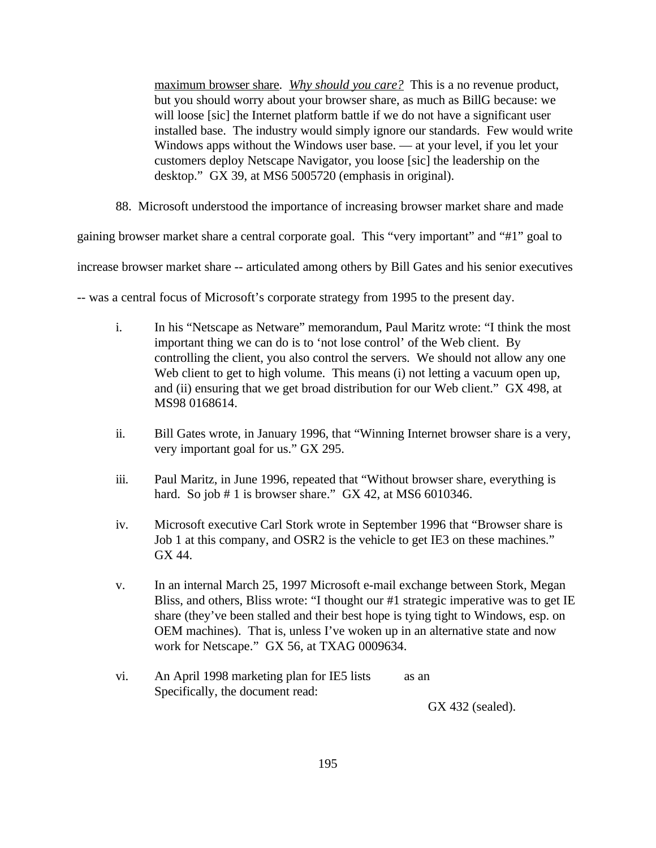maximum browser share. *Why should you care?* This is a no revenue product, but you should worry about your browser share, as much as BillG because: we will loose [sic] the Internet platform battle if we do not have a significant user installed base. The industry would simply ignore our standards. Few would write Windows apps without the Windows user base. — at your level, if you let your customers deploy Netscape Navigator, you loose [sic] the leadership on the desktop." GX 39, at MS6 5005720 (emphasis in original).

88. Microsoft understood the importance of increasing browser market share and made

gaining browser market share a central corporate goal. This "very important" and "#1" goal to

increase browser market share -- articulated among others by Bill Gates and his senior executives

-- was a central focus of Microsoft's corporate strategy from 1995 to the present day.

- i. In his "Netscape as Netware" memorandum, Paul Maritz wrote: "I think the most important thing we can do is to 'not lose control' of the Web client. By controlling the client, you also control the servers. We should not allow any one Web client to get to high volume. This means (i) not letting a vacuum open up, and (ii) ensuring that we get broad distribution for our Web client." GX 498, at MS98 0168614.
- ii. Bill Gates wrote, in January 1996, that "Winning Internet browser share is a very, very important goal for us." GX 295.
- iii. Paul Maritz, in June 1996, repeated that "Without browser share, everything is hard. So job  $# 1$  is browser share." GX 42, at MS6 6010346.
- iv. Microsoft executive Carl Stork wrote in September 1996 that "Browser share is Job 1 at this company, and OSR2 is the vehicle to get IE3 on these machines." GX 44.
- v. In an internal March 25, 1997 Microsoft e-mail exchange between Stork, Megan Bliss, and others, Bliss wrote: "I thought our #1 strategic imperative was to get IE share (they've been stalled and their best hope is tying tight to Windows, esp. on OEM machines). That is, unless I've woken up in an alternative state and now work for Netscape." GX 56, at TXAG 0009634.
- vi. An April 1998 marketing plan for IE5 lists as an Specifically, the document read:

GX 432 (sealed).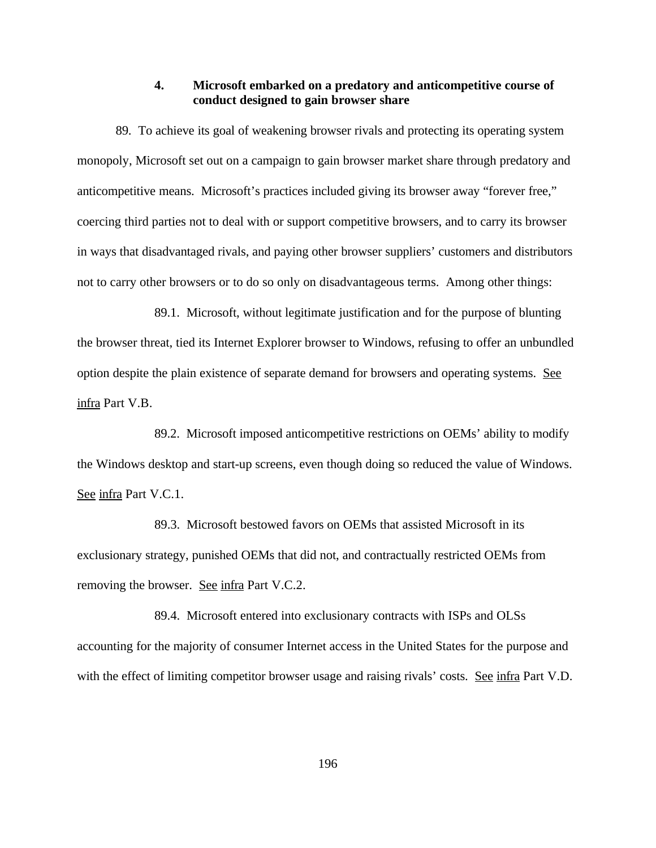#### **4. Microsoft embarked on a predatory and anticompetitive course of conduct designed to gain browser share**

89. To achieve its goal of weakening browser rivals and protecting its operating system monopoly, Microsoft set out on a campaign to gain browser market share through predatory and anticompetitive means. Microsoft's practices included giving its browser away "forever free," coercing third parties not to deal with or support competitive browsers, and to carry its browser in ways that disadvantaged rivals, and paying other browser suppliers' customers and distributors not to carry other browsers or to do so only on disadvantageous terms. Among other things:

89.1. Microsoft, without legitimate justification and for the purpose of blunting the browser threat, tied its Internet Explorer browser to Windows, refusing to offer an unbundled option despite the plain existence of separate demand for browsers and operating systems. See infra Part V.B.

89.2. Microsoft imposed anticompetitive restrictions on OEMs' ability to modify the Windows desktop and start-up screens, even though doing so reduced the value of Windows. See infra Part V.C.1.

89.3. Microsoft bestowed favors on OEMs that assisted Microsoft in its exclusionary strategy, punished OEMs that did not, and contractually restricted OEMs from removing the browser. See infra Part V.C.2.

89.4. Microsoft entered into exclusionary contracts with ISPs and OLSs accounting for the majority of consumer Internet access in the United States for the purpose and with the effect of limiting competitor browser usage and raising rivals' costs. See infra Part V.D.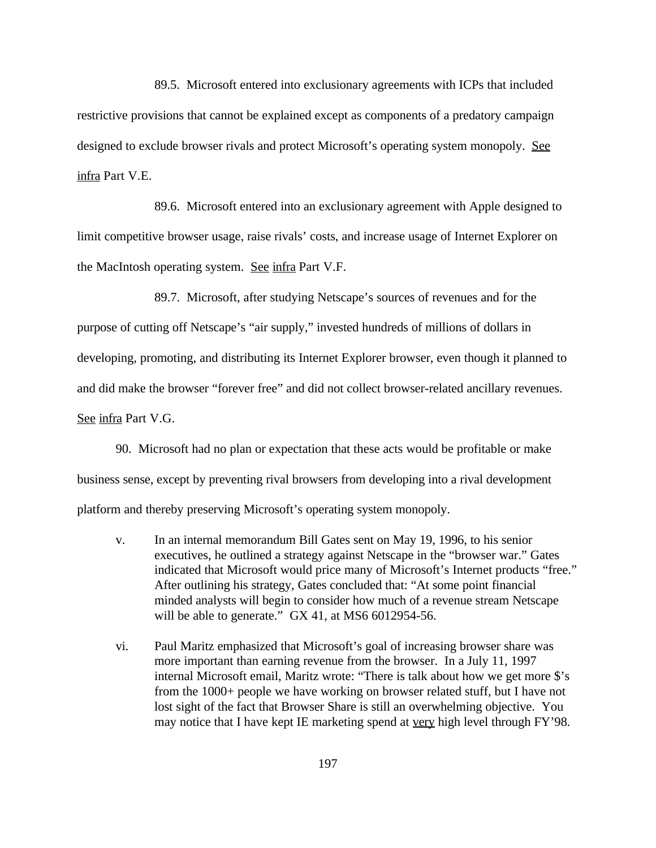89.5. Microsoft entered into exclusionary agreements with ICPs that included restrictive provisions that cannot be explained except as components of a predatory campaign designed to exclude browser rivals and protect Microsoft's operating system monopoly. See infra Part V.E.

89.6. Microsoft entered into an exclusionary agreement with Apple designed to limit competitive browser usage, raise rivals' costs, and increase usage of Internet Explorer on the MacIntosh operating system. See infra Part V.F.

89.7. Microsoft, after studying Netscape's sources of revenues and for the purpose of cutting off Netscape's "air supply," invested hundreds of millions of dollars in developing, promoting, and distributing its Internet Explorer browser, even though it planned to and did make the browser "forever free" and did not collect browser-related ancillary revenues. See infra Part V.G.

90. Microsoft had no plan or expectation that these acts would be profitable or make business sense, except by preventing rival browsers from developing into a rival development platform and thereby preserving Microsoft's operating system monopoly.

- v. In an internal memorandum Bill Gates sent on May 19, 1996, to his senior executives, he outlined a strategy against Netscape in the "browser war." Gates indicated that Microsoft would price many of Microsoft's Internet products "free." After outlining his strategy, Gates concluded that: "At some point financial minded analysts will begin to consider how much of a revenue stream Netscape will be able to generate." GX 41, at MS6 6012954-56.
- vi. Paul Maritz emphasized that Microsoft's goal of increasing browser share was more important than earning revenue from the browser. In a July 11, 1997 internal Microsoft email, Maritz wrote: "There is talk about how we get more \$'s from the 1000+ people we have working on browser related stuff, but I have not lost sight of the fact that Browser Share is still an overwhelming objective. You may notice that I have kept IE marketing spend at very high level through FY'98.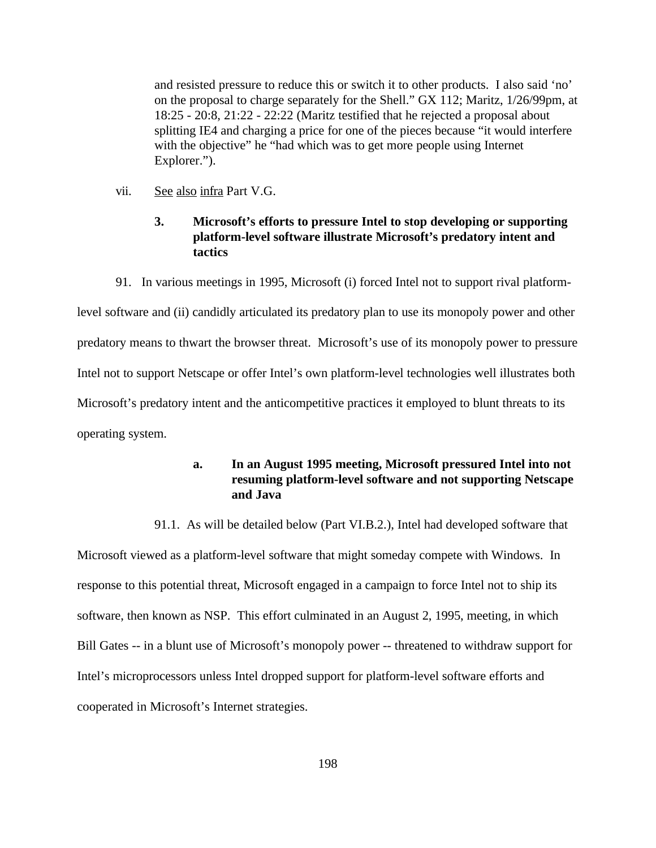and resisted pressure to reduce this or switch it to other products. I also said 'no' on the proposal to charge separately for the Shell." GX 112; Maritz, 1/26/99pm, at 18:25 - 20:8, 21:22 - 22:22 (Maritz testified that he rejected a proposal about splitting IE4 and charging a price for one of the pieces because "it would interfere with the objective" he "had which was to get more people using Internet Explorer.").

vii. See also infra Part V.G.

# **3. Microsoft's efforts to pressure Intel to stop developing or supporting platform-level software illustrate Microsoft's predatory intent and tactics**

91. In various meetings in 1995, Microsoft (i) forced Intel not to support rival platform-

level software and (ii) candidly articulated its predatory plan to use its monopoly power and other predatory means to thwart the browser threat. Microsoft's use of its monopoly power to pressure Intel not to support Netscape or offer Intel's own platform-level technologies well illustrates both Microsoft's predatory intent and the anticompetitive practices it employed to blunt threats to its operating system.

## **a. In an August 1995 meeting, Microsoft pressured Intel into not resuming platform-level software and not supporting Netscape and Java**

91.1. As will be detailed below (Part VI.B.2.), Intel had developed software that Microsoft viewed as a platform-level software that might someday compete with Windows. In response to this potential threat, Microsoft engaged in a campaign to force Intel not to ship its software, then known as NSP. This effort culminated in an August 2, 1995, meeting, in which Bill Gates -- in a blunt use of Microsoft's monopoly power -- threatened to withdraw support for Intel's microprocessors unless Intel dropped support for platform-level software efforts and cooperated in Microsoft's Internet strategies.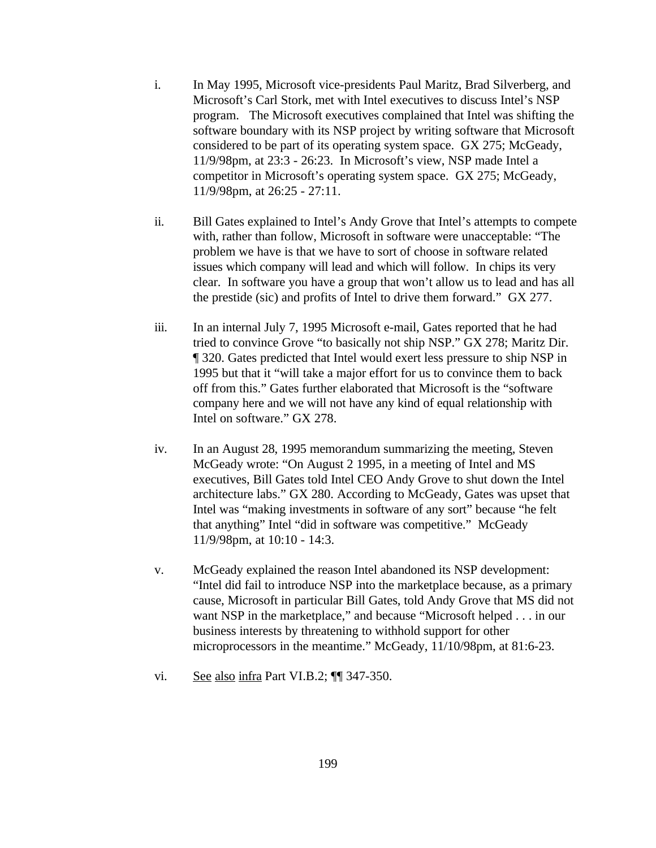- i. In May 1995, Microsoft vice-presidents Paul Maritz, Brad Silverberg, and Microsoft's Carl Stork, met with Intel executives to discuss Intel's NSP program. The Microsoft executives complained that Intel was shifting the software boundary with its NSP project by writing software that Microsoft considered to be part of its operating system space. GX 275; McGeady, 11/9/98pm, at 23:3 - 26:23. In Microsoft's view, NSP made Intel a competitor in Microsoft's operating system space. GX 275; McGeady, 11/9/98pm, at 26:25 - 27:11.
- ii. Bill Gates explained to Intel's Andy Grove that Intel's attempts to compete with, rather than follow, Microsoft in software were unacceptable: "The problem we have is that we have to sort of choose in software related issues which company will lead and which will follow. In chips its very clear. In software you have a group that won't allow us to lead and has all the prestide (sic) and profits of Intel to drive them forward." GX 277.
- iii. In an internal July 7, 1995 Microsoft e-mail, Gates reported that he had tried to convince Grove "to basically not ship NSP." GX 278; Maritz Dir. ¶ 320. Gates predicted that Intel would exert less pressure to ship NSP in 1995 but that it "will take a major effort for us to convince them to back off from this." Gates further elaborated that Microsoft is the "software company here and we will not have any kind of equal relationship with Intel on software." GX 278.
- iv. In an August 28, 1995 memorandum summarizing the meeting, Steven McGeady wrote: "On August 2 1995, in a meeting of Intel and MS executives, Bill Gates told Intel CEO Andy Grove to shut down the Intel architecture labs." GX 280. According to McGeady, Gates was upset that Intel was "making investments in software of any sort" because "he felt that anything" Intel "did in software was competitive." McGeady 11/9/98pm, at 10:10 - 14:3.
- v. McGeady explained the reason Intel abandoned its NSP development: "Intel did fail to introduce NSP into the marketplace because, as a primary cause, Microsoft in particular Bill Gates, told Andy Grove that MS did not want NSP in the marketplace," and because "Microsoft helped . . . in our business interests by threatening to withhold support for other microprocessors in the meantime." McGeady, 11/10/98pm, at 81:6-23.
- vi. See also infra Part VI.B.2;  $\P$  347-350.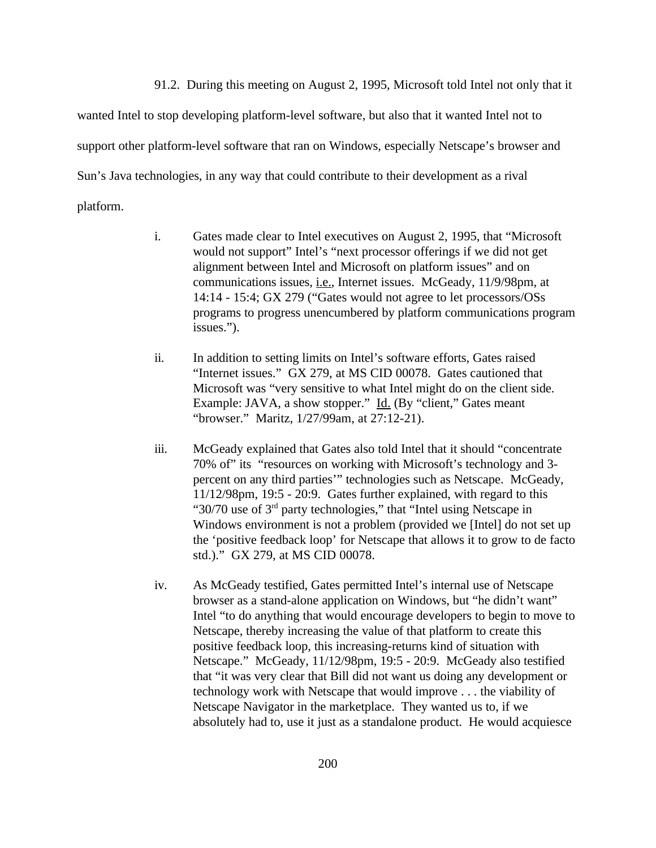91.2. During this meeting on August 2, 1995, Microsoft told Intel not only that it

wanted Intel to stop developing platform-level software, but also that it wanted Intel not to support other platform-level software that ran on Windows, especially Netscape's browser and Sun's Java technologies, in any way that could contribute to their development as a rival platform.

- i. Gates made clear to Intel executives on August 2, 1995, that "Microsoft would not support" Intel's "next processor offerings if we did not get alignment between Intel and Microsoft on platform issues" and on communications issues, i.e., Internet issues. McGeady, 11/9/98pm, at 14:14 - 15:4; GX 279 ("Gates would not agree to let processors/OSs programs to progress unencumbered by platform communications program issues.").
- ii. In addition to setting limits on Intel's software efforts, Gates raised "Internet issues." GX 279, at MS CID 00078. Gates cautioned that Microsoft was "very sensitive to what Intel might do on the client side. Example: JAVA, a show stopper." Id. (By "client," Gates meant "browser." Maritz, 1/27/99am, at 27:12-21).
- iii. McGeady explained that Gates also told Intel that it should "concentrate 70% of" its "resources on working with Microsoft's technology and 3 percent on any third parties'" technologies such as Netscape. McGeady, 11/12/98pm, 19:5 - 20:9. Gates further explained, with regard to this " $30/70$  use of  $3<sup>rd</sup>$  party technologies," that "Intel using Netscape in Windows environment is not a problem (provided we [Intel] do not set up the 'positive feedback loop' for Netscape that allows it to grow to de facto std.)." GX 279, at MS CID 00078.
- iv. As McGeady testified, Gates permitted Intel's internal use of Netscape browser as a stand-alone application on Windows, but "he didn't want" Intel "to do anything that would encourage developers to begin to move to Netscape, thereby increasing the value of that platform to create this positive feedback loop, this increasing-returns kind of situation with Netscape." McGeady, 11/12/98pm, 19:5 - 20:9. McGeady also testified that "it was very clear that Bill did not want us doing any development or technology work with Netscape that would improve . . . the viability of Netscape Navigator in the marketplace. They wanted us to, if we absolutely had to, use it just as a standalone product. He would acquiesce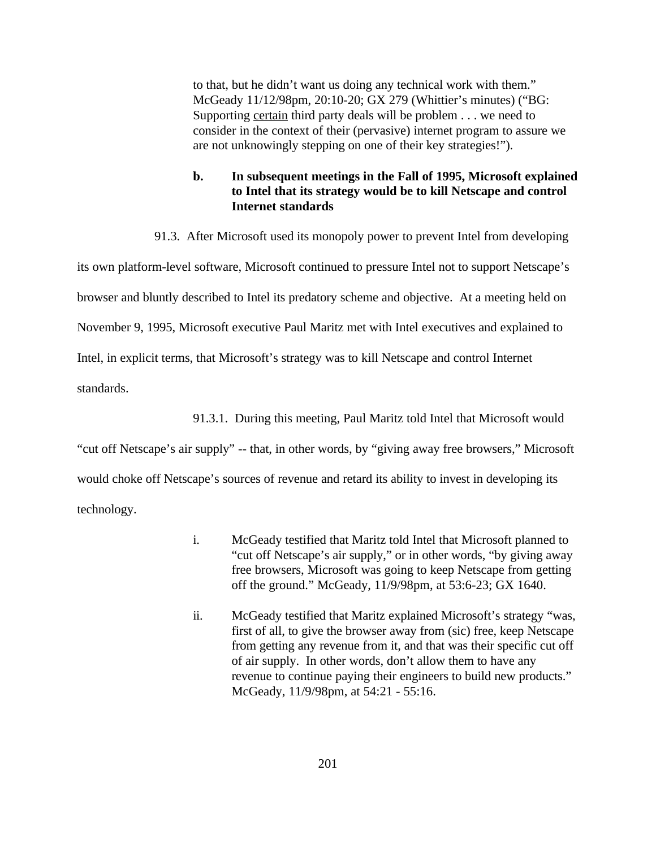to that, but he didn't want us doing any technical work with them." McGeady 11/12/98pm, 20:10-20; GX 279 (Whittier's minutes) ("BG: Supporting certain third party deals will be problem . . . we need to consider in the context of their (pervasive) internet program to assure we are not unknowingly stepping on one of their key strategies!").

# **b. In subsequent meetings in the Fall of 1995, Microsoft explained to Intel that its strategy would be to kill Netscape and control Internet standards**

91.3. After Microsoft used its monopoly power to prevent Intel from developing

its own platform-level software, Microsoft continued to pressure Intel not to support Netscape's browser and bluntly described to Intel its predatory scheme and objective. At a meeting held on November 9, 1995, Microsoft executive Paul Maritz met with Intel executives and explained to Intel, in explicit terms, that Microsoft's strategy was to kill Netscape and control Internet standards.

91.3.1. During this meeting, Paul Maritz told Intel that Microsoft would

"cut off Netscape's air supply" -- that, in other words, by "giving away free browsers," Microsoft would choke off Netscape's sources of revenue and retard its ability to invest in developing its technology.

- i. McGeady testified that Maritz told Intel that Microsoft planned to "cut off Netscape's air supply," or in other words, "by giving away free browsers, Microsoft was going to keep Netscape from getting off the ground." McGeady, 11/9/98pm, at 53:6-23; GX 1640.
- ii. McGeady testified that Maritz explained Microsoft's strategy "was, first of all, to give the browser away from (sic) free, keep Netscape from getting any revenue from it, and that was their specific cut off of air supply. In other words, don't allow them to have any revenue to continue paying their engineers to build new products." McGeady, 11/9/98pm, at 54:21 - 55:16.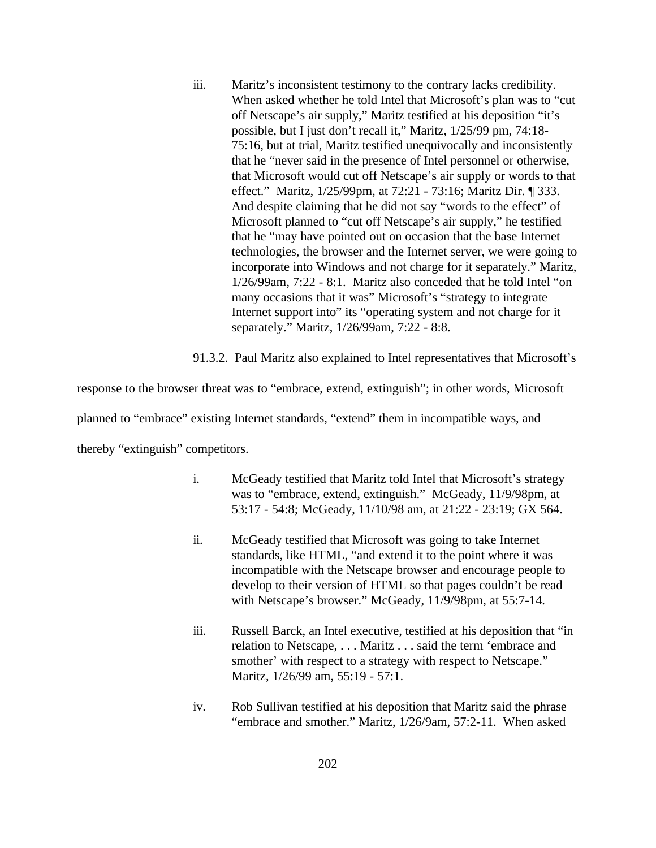iii. Maritz's inconsistent testimony to the contrary lacks credibility. When asked whether he told Intel that Microsoft's plan was to "cut off Netscape's air supply," Maritz testified at his deposition "it's possible, but I just don't recall it," Maritz, 1/25/99 pm, 74:18- 75:16, but at trial, Maritz testified unequivocally and inconsistently that he "never said in the presence of Intel personnel or otherwise, that Microsoft would cut off Netscape's air supply or words to that effect." Maritz, 1/25/99pm, at 72:21 - 73:16; Maritz Dir. ¶ 333. And despite claiming that he did not say "words to the effect" of Microsoft planned to "cut off Netscape's air supply," he testified that he "may have pointed out on occasion that the base Internet technologies, the browser and the Internet server, we were going to incorporate into Windows and not charge for it separately." Maritz, 1/26/99am, 7:22 - 8:1. Maritz also conceded that he told Intel "on many occasions that it was" Microsoft's "strategy to integrate Internet support into" its "operating system and not charge for it separately." Maritz, 1/26/99am, 7:22 - 8:8.

91.3.2. Paul Maritz also explained to Intel representatives that Microsoft's

response to the browser threat was to "embrace, extend, extinguish"; in other words, Microsoft

planned to "embrace" existing Internet standards, "extend" them in incompatible ways, and

thereby "extinguish" competitors.

- i. McGeady testified that Maritz told Intel that Microsoft's strategy was to "embrace, extend, extinguish." McGeady, 11/9/98pm, at 53:17 - 54:8; McGeady, 11/10/98 am, at 21:22 - 23:19; GX 564.
- ii. McGeady testified that Microsoft was going to take Internet standards, like HTML, "and extend it to the point where it was incompatible with the Netscape browser and encourage people to develop to their version of HTML so that pages couldn't be read with Netscape's browser." McGeady, 11/9/98pm, at 55:7-14.
- iii. Russell Barck, an Intel executive, testified at his deposition that "in relation to Netscape, . . . Maritz . . . said the term 'embrace and smother' with respect to a strategy with respect to Netscape." Maritz, 1/26/99 am, 55:19 - 57:1.
- iv. Rob Sullivan testified at his deposition that Maritz said the phrase "embrace and smother." Maritz, 1/26/9am, 57:2-11. When asked